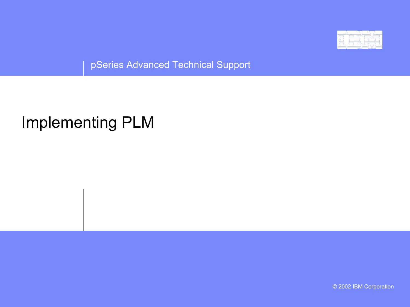

pSeries Advanced Technical Support

# Implementing PLM

© 2002 IBM Corporation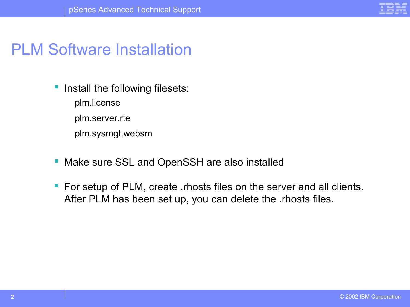

#### PLM Software Installation

- Install the following filesets:
	- plm.license
	- plm.server.rte
	- plm.sysmgt.websm
- Make sure SSL and OpenSSH are also installed
- For setup of PLM, create .rhosts files on the server and all clients. After PLM has been set up, you can delete the .rhosts files.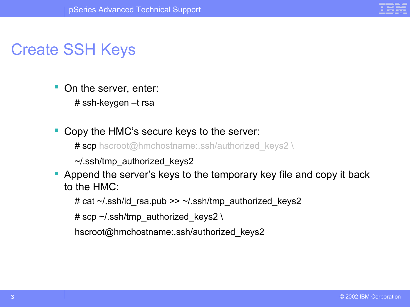

# Create SSH Keys

- On the server, enter: # ssh-keygen –t rsa
- Copy the HMC's secure keys to the server:

# scp hscroot@hmchostname:.ssh/authorized keys2 \

 $\sim$ /.ssh/tmp authorized keys2

 Append the server's keys to the temporary key file and copy it back to the HMC:

```
# cat ~/.ssh/id_rsa.pub >> ~/.ssh/tmp_authorized_keys2
```

```
# scp \sim/.ssh/tmp_authorized_keys2 \
```
hscroot@hmchostname:.ssh/authorized\_keys2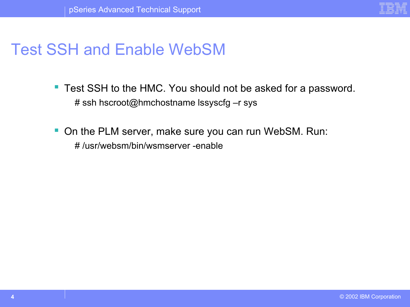

### Test SSH and Enable WebSM

- Test SSH to the HMC. You should not be asked for a password. # ssh hscroot@hmchostname lssyscfg –r sys
- On the PLM server, make sure you can run WebSM. Run: # /usr/websm/bin/wsmserver -enable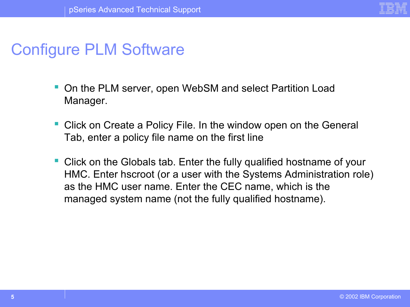

- On the PLM server, open WebSM and select Partition Load Manager.
- Click on Create a Policy File. In the window open on the General Tab, enter a policy file name on the first line
- Click on the Globals tab. Enter the fully qualified hostname of your HMC. Enter hscroot (or a user with the Systems Administration role) as the HMC user name. Enter the CEC name, which is the managed system name (not the fully qualified hostname).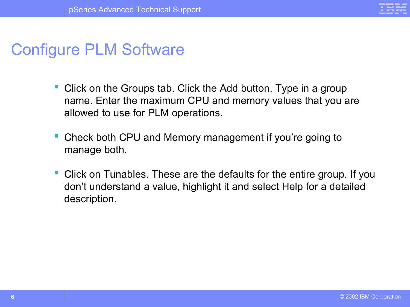

- Click on the Groups tab. Click the Add button. Type in a group name. Enter the maximum CPU and memory values that you are allowed to use for PLM operations.
- Check both CPU and Memory management if you're going to manage both.
- Click on Tunables. These are the defaults for the entire group. If you don't understand a value, highlight it and select Help for a detailed description.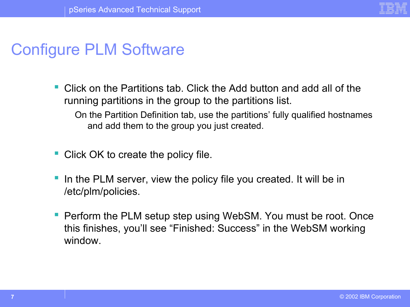

- Click on the Partitions tab. Click the Add button and add all of the running partitions in the group to the partitions list. On the Partition Definition tab, use the partitions' fully qualified hostnames
	- and add them to the group you just created.
- Click OK to create the policy file.
- In the PLM server, view the policy file you created. It will be in /etc/plm/policies.
- Perform the PLM setup step using WebSM. You must be root. Once this finishes, you'll see "Finished: Success" in the WebSM working window.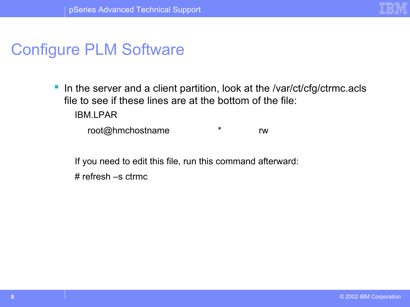

 In the server and a client partition, look at the /var/ct/cfg/ctrmc.acls file to see if these lines are at the bottom of the file: IBM.LPAR

root@hmchostname \* \* rw

If you need to edit this file, run this command afterward:

# refresh –s ctrmc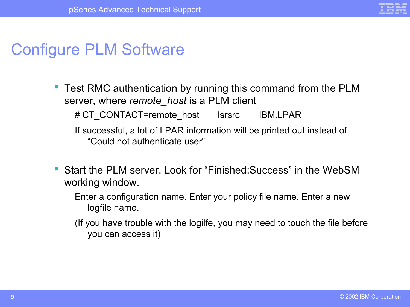

- Test RMC authentication by running this command from the PLM server, where *remote\_host* is a PLM client # CT\_CONTACT=remote\_host lsrsrc IBM.LPAR If successful, a lot of LPAR information will be printed out instead of "Could not authenticate user"
- Start the PLM server. Look for "Finished:Success" in the WebSM working window.
	- Enter a configuration name. Enter your policy file name. Enter a new logfile name.
	- (If you have trouble with the logilfe, you may need to touch the file before you can access it)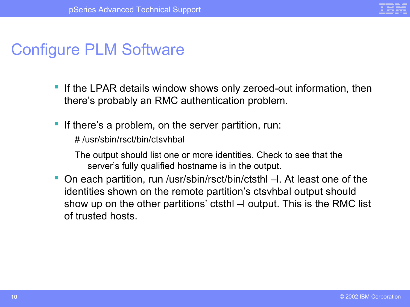

- If the LPAR details window shows only zeroed-out information, then there's probably an RMC authentication problem.
- If there's a problem, on the server partition, run:

# /usr/sbin/rsct/bin/ctsvhbal

The output should list one or more identities. Check to see that the server's fully qualified hostname is in the output.

 On each partition, run /usr/sbin/rsct/bin/ctsthl –l. At least one of the identities shown on the remote partition's ctsvhbal output should show up on the other partitions' ctsthl –l output. This is the RMC list of trusted hosts.